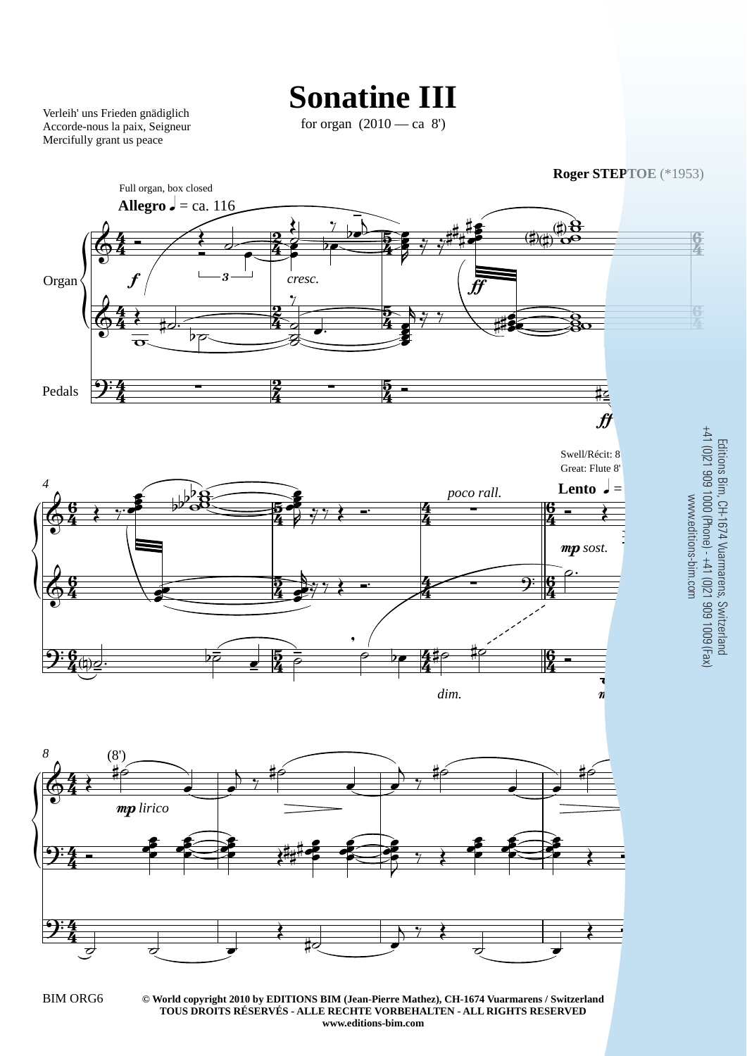## **Sonatine III**

Verleih' uns Frieden gnädiglich Accorde-nous la paix, Seigneur Mercifully grant us peace

for organ  $(2010 - ca 8)$ 



wwww. 44 O  $\frac{1}{2}$  $\frac{1}{2}$ Editions Bim, CH-1674 Vuarmarens, Switzerland +41 (0)21 909 1000 (Phone) - +41 (0)21 909 1009 (Fax)

**<sup>©</sup> World copyright 2010 by EDITIONS BIM (Jean-Pierre Mathez), CH-1674 Vuarmarens / Switzerland** BIM ORG6 3 **TOUS DROITS RÉSERVÉS - ALLE RECHTE VORBEHALTEN - ALL RIGHTS RESERVED www.editions-bim.com**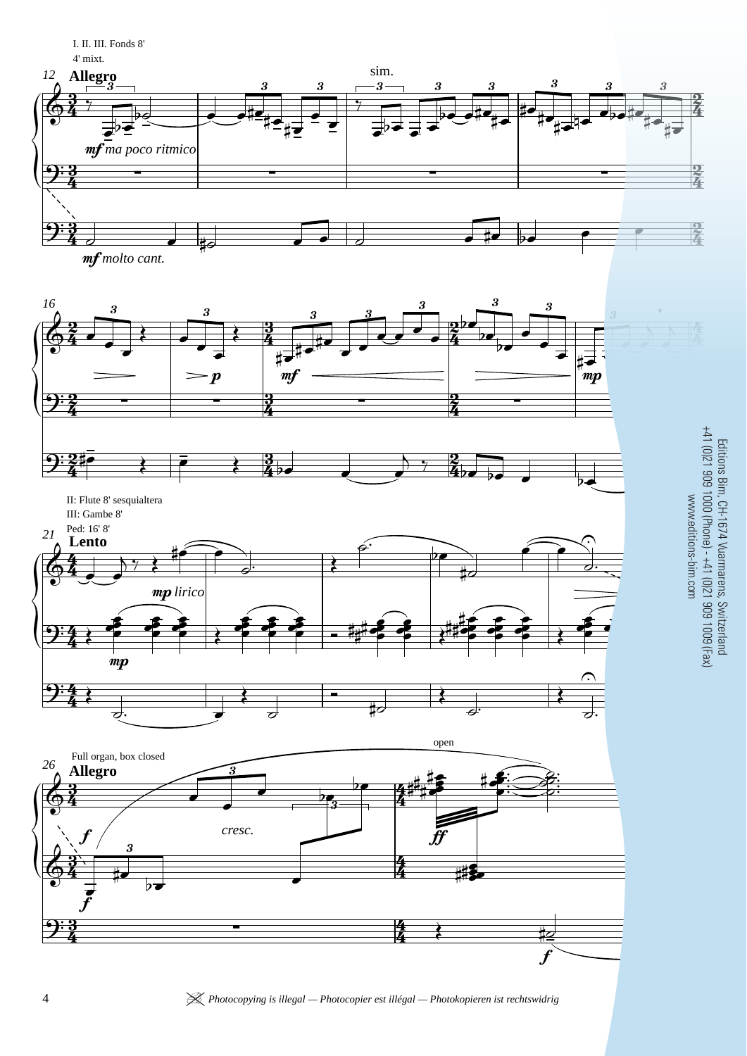I. II. III. Fonds 8' 4' mixt.











Editions Bim, CH-1674 Vuarmarens, Switzerland<br>+41 (0)21 909 1000 (Phone) - +41 (0)21 909 1009 (Fax)<br>www.editions-bim.com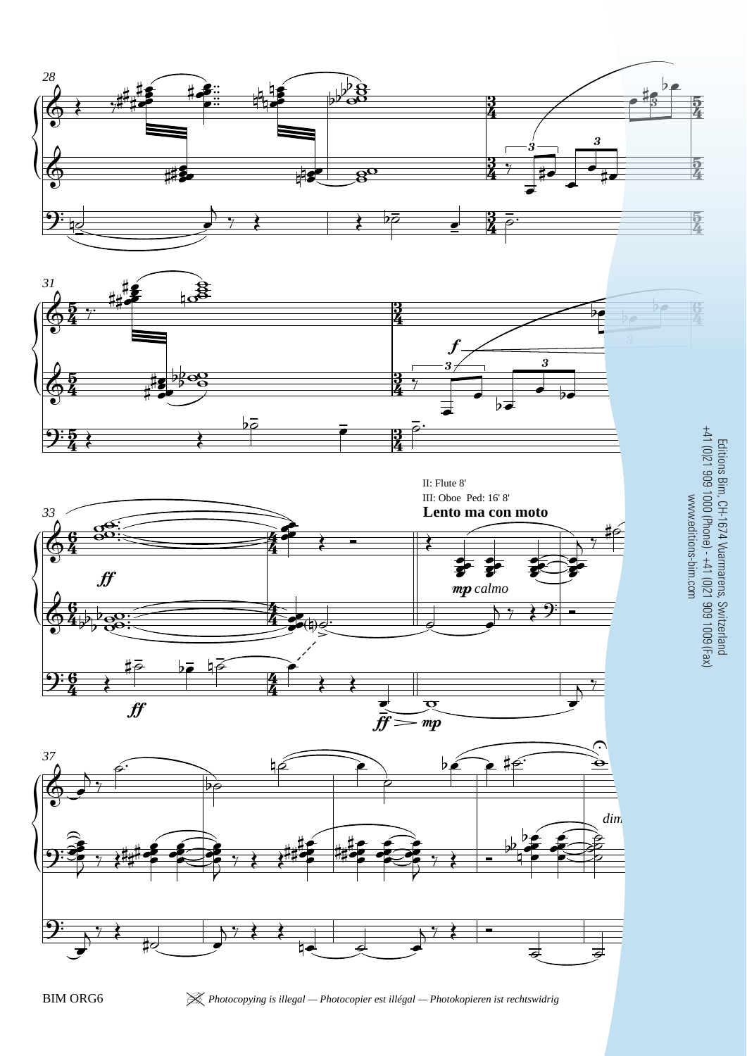





 $\mathcal K$  Photocopying is illegal - Photocopier est illégal - Photokopieren ist rechtswidrig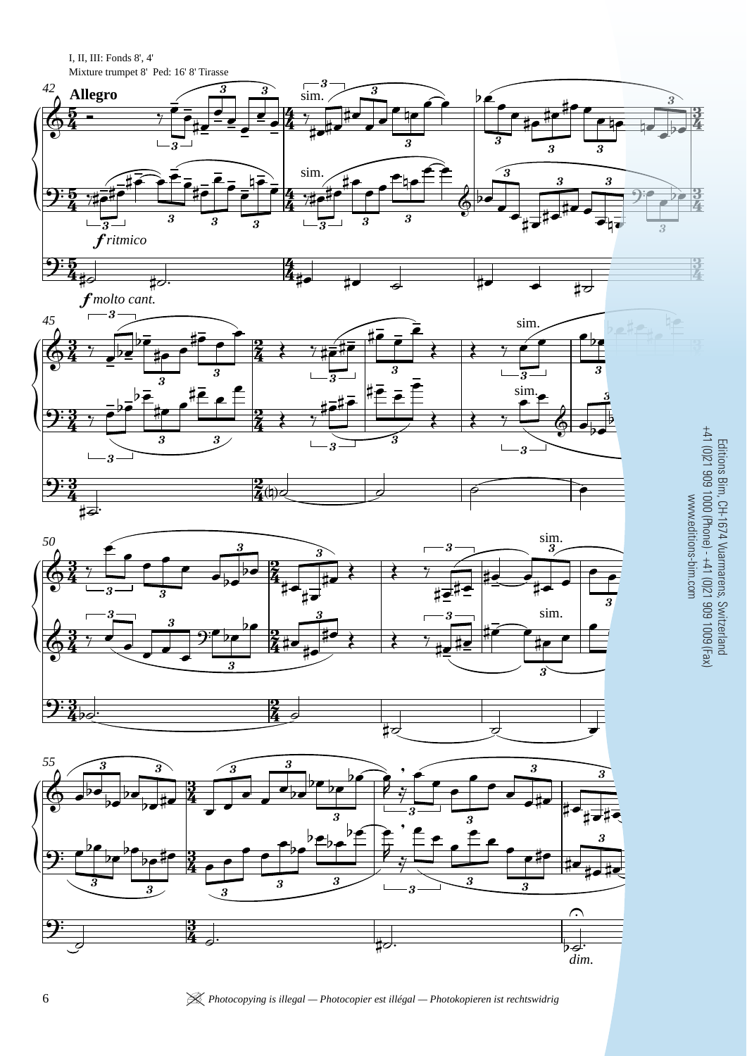I, II, III: Fonds 8', 4' Mixture trumpet 8' Ped: 16' 8' Tirasse  $\overline{\sin^3}$  $42$ 3  $\overline{\boldsymbol{\mathfrak{z}}}$  $\overline{\boldsymbol{\beta}}$ **Allegro** 3  $\boldsymbol{\mathcal{S}}$ 9  $\overline{\mathbf{3}}$  $\overline{\boldsymbol{3}}$ sim. ร 3 3 3 3 3 3  $\mathbf{I}$  $-\overline{3}$ ٠, 3 3 3  $\tilde{f}$ ritmico  $\frac{1}{2}$ ‡ਟ  $f$ molto cant.  $-3$  $\overline{1}$ 45 sim 3 2 3  $\overline{\mathbf{3}}$ sim Editions Bim, CH-1674 Vuarmarens, Switzerland<br>+41 (0)21 909 1000 (Phone) - +41 (0)21 909 1009 (Fax)<br>www.editions-bim.com 3 3  $\overline{\mathbf{3}}$  $\overline{1}$  $\overline{3}$ ⋕⋥  $\lim_{3}$ 50  $\overline{\boldsymbol{3}}$ sim. Ś  $\overline{\boldsymbol{3}}$ 55  $\boldsymbol{\mathcal{S}}$ ę  $\bf 3$ 3 3  $\overline{\bf 3}$  $\overline{\boldsymbol{3}}$  $\overline{s}$  $\overline{\boldsymbol{s}}$ 3 9  $\overline{\mathbf{3}}$  $\overline{a}$ بير  $\overline{p}$ dim.

 $\mathcal K$  Photocopying is illegal - Photocopier est illégal - Photokopieren ist rechtswidrig